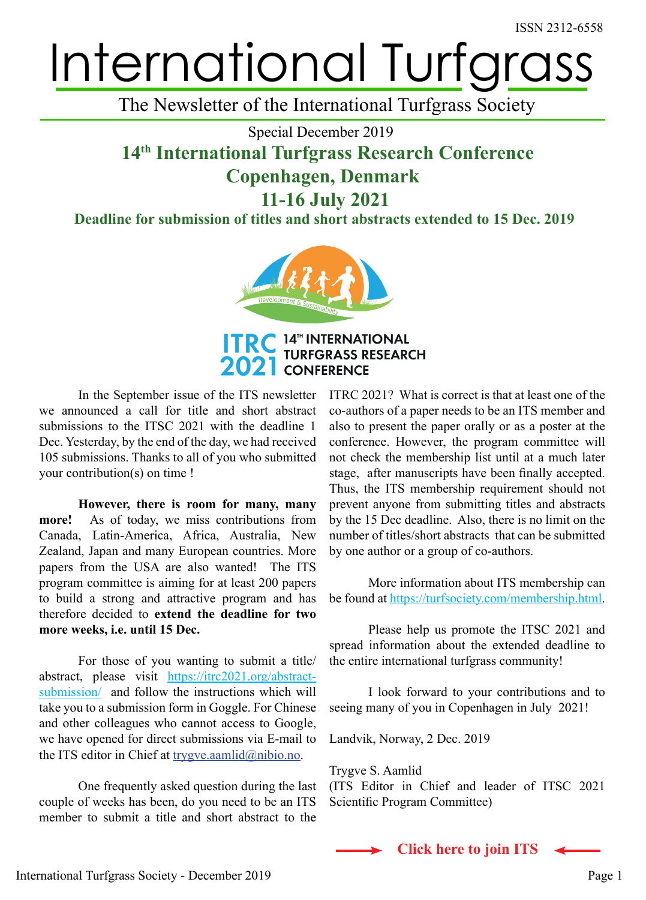## International Turfgrass

The Newsletter of the International Turfgrass Society

## Special December 2019  **14th International Turfgrass Research Conference Copenhagen, Denmark 11-16 July 2021**

**Deadline for submission of titles and short abstracts extended to 15 Dec. 2019**



**ITRC** 14<sup>th</sup> INTERNATIONAL<br>**COOOL** TURFGRASS RESEARCH

In the September issue of the ITS newsletter we announced a call for title and short abstract submissions to the ITSC 2021 with the deadline 1 Dec. Yesterday, by the end of the day, we had received 105 submissions. Thanks to all of you who submitted your contribution(s) on time !

**However, there is room for many, many more!** As of today, we miss contributions from Canada, Latin-America, Africa, Australia, New Zealand, Japan and many European countries. More papers from the USA are also wanted! The ITS program committee is aiming for at least 200 papers to build a strong and attractive program and has therefore decided to **extend the deadline for two more weeks, i.e. until 15 Dec.** 

For those of you wanting to submit a title/ abstract, please visit [https://itrc2021.org/abstract](https://itrc2021.org/abstract-submission/)[submission/](https://itrc2021.org/abstract-submission/) and follow the instructions which will take you to a submission form in Goggle. For Chinese and other colleagues who cannot access to Google, we have opened for direct submissions via E-mail to the ITS editor in Chief at trygve.aamlid $@nibio.no$ .

One frequently asked question during the last couple of weeks has been, do you need to be an ITS member to submit a title and short abstract to the

ITRC 2021? What is correct is that at least one of the co-authors of a paper needs to be an ITS member and also to present the paper orally or as a poster at the conference. However, the program committee will not check the membership list until at a much later stage, after manuscripts have been finally accepted. Thus, the ITS membership requirement should not prevent anyone from submitting titles and abstracts by the 15 Dec deadline. Also, there is no limit on the number of titles/short abstracts that can be submitted by one author or a group of co-authors.

More information about ITS membership can be found at<https://turfsociety.com/membership.html>.

Please help us promote the ITSC 2021 and spread information about the extended deadline to the entire international turfgrass community!

I look forward to your contributions and to seeing many of you in Copenhagen in July 2021!

Landvik, Norway, 2 Dec. 2019

Trygve S. Aamlid (ITS Editor in Chief and leader of ITSC 2021 Scientific Program Committee)

**[Click here to join ITS](http://www.turfsociety.com/membership/form.php)**

International Turfgrass Society - December 2019 Page 1